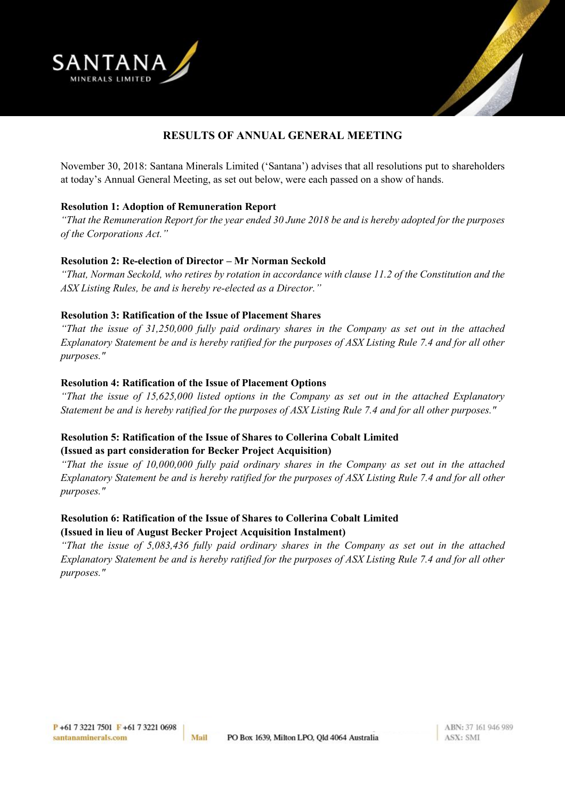



# **RESULTS OF ANNUAL GENERAL MEETING**

November 30, 2018: Santana Minerals Limited ('Santana') advises that all resolutions put to shareholders at today's Annual General Meeting, as set out below, were each passed on a show of hands.

### **Resolution 1: Adoption of Remuneration Report**

*"That the Remuneration Report for the year ended 30 June 2018 be and is hereby adopted for the purposes of the Corporations Act."*

### **Resolution 2: Re-election of Director – Mr Norman Seckold**

*"That, Norman Seckold, who retires by rotation in accordance with clause 11.2 of the Constitution and the ASX Listing Rules, be and is hereby re-elected as a Director."*

### **Resolution 3: Ratification of the Issue of Placement Shares**

*"That the issue of 31,250,000 fully paid ordinary shares in the Company as set out in the attached Explanatory Statement be and is hereby ratified for the purposes of ASX Listing Rule 7.4 and for all other purposes."*

### **Resolution 4: Ratification of the Issue of Placement Options**

*"That the issue of 15,625,000 listed options in the Company as set out in the attached Explanatory Statement be and is hereby ratified for the purposes of ASX Listing Rule 7.4 and for all other purposes."*

### **Resolution 5: Ratification of the Issue of Shares to Collerina Cobalt Limited (Issued as part consideration for Becker Project Acquisition)**

*"That the issue of 10,000,000 fully paid ordinary shares in the Company as set out in the attached Explanatory Statement be and is hereby ratified for the purposes of ASX Listing Rule 7.4 and for all other purposes."*

## **Resolution 6: Ratification of the Issue of Shares to Collerina Cobalt Limited (Issued in lieu of August Becker Project Acquisition Instalment)**

*"That the issue of 5,083,436 fully paid ordinary shares in the Company as set out in the attached Explanatory Statement be and is hereby ratified for the purposes of ASX Listing Rule 7.4 and for all other purposes."*